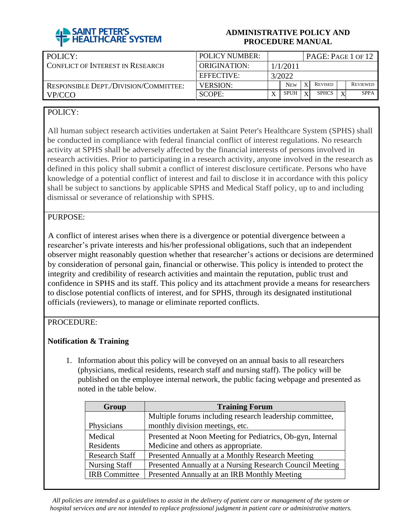

| POLICY:                               | <b>POLICY NUMBER:</b> | PAGE: PAGE 1 OF 12 |            |              |                |  |                 |  |
|---------------------------------------|-----------------------|--------------------|------------|--------------|----------------|--|-----------------|--|
| CONFLICT OF INTEREST IN RESEARCH      | ORIGINATION:          | 1/1/2011           |            |              |                |  |                 |  |
|                                       | EFFECTIVE:            | 3/2022             |            |              |                |  |                 |  |
| RESPONSIBLE DEPT./DIVISION/COMMITTEE: | <b>VERSION:</b>       |                    | <b>NEW</b> | X            | <b>REVISED</b> |  | <b>REVIEWED</b> |  |
| VP/CCO                                | SCOPE:                | $\mathbf v$        | SPUH       | $\mathbf{v}$ | <b>SPHCS</b>   |  | <b>SPPA</b>     |  |

## POLICY:

All human subject research activities undertaken at Saint Peter's Healthcare System (SPHS) shall be conducted in compliance with federal financial conflict of interest regulations. No research activity at SPHS shall be adversely affected by the financial interests of persons involved in research activities. Prior to participating in a research activity, anyone involved in the research as defined in this policy shall submit a conflict of interest disclosure certificate. Persons who have knowledge of a potential conflict of interest and fail to disclose it in accordance with this policy shall be subject to sanctions by applicable SPHS and Medical Staff policy, up to and including dismissal or severance of relationship with SPHS.

## PURPOSE:

A conflict of interest arises when there is a divergence or potential divergence between a researcher's private interests and his/her professional obligations, such that an independent observer might reasonably question whether that researcher's actions or decisions are determined by consideration of personal gain, financial or otherwise. This policy is intended to protect the integrity and credibility of research activities and maintain the reputation, public trust and confidence in SPHS and its staff. This policy and its attachment provide a means for researchers to disclose potential conflicts of interest, and for SPHS, through its designated institutional officials (reviewers), to manage or eliminate reported conflicts.

## PROCEDURE:

## **Notification & Training**

1. Information about this policy will be conveyed on an annual basis to all researchers (physicians, medical residents, research staff and nursing staff). The policy will be published on the employee internal network, the public facing webpage and presented as noted in the table below.

| <b>Training Forum</b><br>Group |                                                            |  |  |  |  |  |  |
|--------------------------------|------------------------------------------------------------|--|--|--|--|--|--|
|                                | Multiple forums including research leadership committee,   |  |  |  |  |  |  |
| Physicians                     | monthly division meetings, etc.                            |  |  |  |  |  |  |
| Medical                        | Presented at Noon Meeting for Pediatrics, Ob-gyn, Internal |  |  |  |  |  |  |
| Residents                      | Medicine and others as appropriate.                        |  |  |  |  |  |  |
| <b>Research Staff</b>          | Presented Annually at a Monthly Research Meeting           |  |  |  |  |  |  |
| <b>Nursing Staff</b>           | Presented Annually at a Nursing Research Council Meeting   |  |  |  |  |  |  |
| <b>IRB</b> Committee           | Presented Annually at an IRB Monthly Meeting               |  |  |  |  |  |  |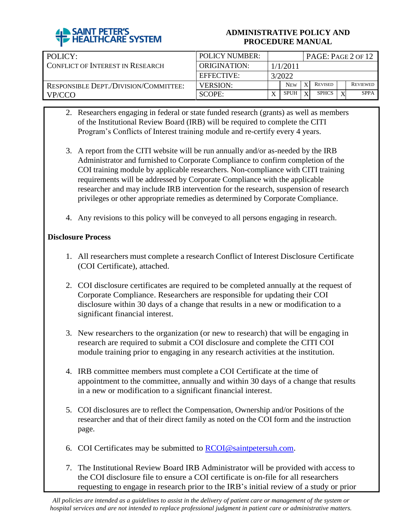

| POLICY:                                      | <b>POLICY NUMBER:</b> | PAGE: Page 2 of 12 |            |              |                |  |                 |  |
|----------------------------------------------|-----------------------|--------------------|------------|--------------|----------------|--|-----------------|--|
| I CONFLICT OF INTEREST IN RESEARCH.          | ORIGINATION:          | 1/1/2011           |            |              |                |  |                 |  |
|                                              | EFFECTIVE:            | 3/2022             |            |              |                |  |                 |  |
| <b>RESPONSIBLE DEPT./DIVISION/COMMITTEE:</b> | <b>VERSION:</b>       |                    | <b>NEW</b> | $\mathbf{x}$ | <b>REVISED</b> |  | <b>REVIEWED</b> |  |
| VP/CCO                                       | SCOPE:                |                    | SPUH       | $\mathbf{Y}$ | <b>SPHCS</b>   |  | <b>SPPA</b>     |  |

- 2. Researchers engaging in federal or state funded research (grants) as well as members of the Institutional Review Board (IRB) will be required to complete the CITI Program's Conflicts of Interest training module and re-certify every 4 years.
- 3. A report from the CITI website will be run annually and/or as-needed by the IRB Administrator and furnished to Corporate Compliance to confirm completion of the COI training module by applicable researchers. Non-compliance with CITI training requirements will be addressed by Corporate Compliance with the applicable researcher and may include IRB intervention for the research, suspension of research privileges or other appropriate remedies as determined by Corporate Compliance.
- 4. Any revisions to this policy will be conveyed to all persons engaging in research.

## **Disclosure Process**

- 1. All researchers must complete a research Conflict of Interest Disclosure Certificate (COI Certificate), attached.
- 2. COI disclosure certificates are required to be completed annually at the request of Corporate Compliance. Researchers are responsible for updating their COI disclosure within 30 days of a change that results in a new or modification to a significant financial interest.
- 3. New researchers to the organization (or new to research) that will be engaging in research are required to submit a COI disclosure and complete the CITI COI module training prior to engaging in any research activities at the institution.
- 4. IRB committee members must complete a COI Certificate at the time of appointment to the committee, annually and within 30 days of a change that results in a new or modification to a significant financial interest.
- 5. COI disclosures are to reflect the Compensation, Ownership and/or Positions of the researcher and that of their direct family as noted on the COI form and the instruction page.
- 6. COI Certificates may be submitted to [RCOI@saintpetersuh.com.](mailto:RCOI@saintpetersuh.com)
- 7. The Institutional Review Board IRB Administrator will be provided with access to the COI disclosure file to ensure a COI certificate is on-file for all researchers requesting to engage in research prior to the IRB's initial review of a study or prior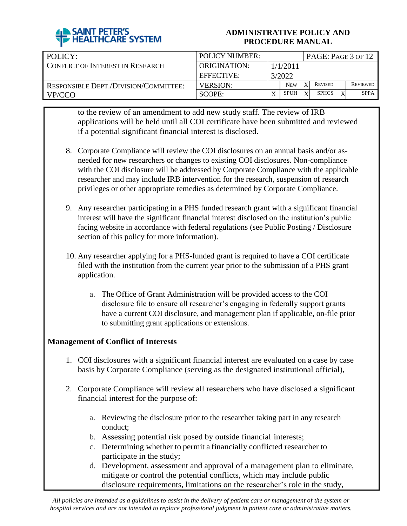

| POLICY:                                      | <b>POLICY NUMBER:</b> | PAGE: PAGE 3 OF 12 |             |              |                |  |                 |  |
|----------------------------------------------|-----------------------|--------------------|-------------|--------------|----------------|--|-----------------|--|
| CONFLICT OF INTEREST IN RESEARCH             | ORIGINATION:          | 1/1/2011           |             |              |                |  |                 |  |
|                                              | EFFECTIVE:            | 3/2022             |             |              |                |  |                 |  |
| <b>RESPONSIBLE DEPT./DIVISION/COMMITTEE:</b> | <b>VERSION:</b>       |                    | <b>NEW</b>  | X            | <b>REVISED</b> |  | <b>REVIEWED</b> |  |
| VP/CCO                                       | SCOPE:                | v                  | <b>SPUH</b> | $\mathbf{v}$ | <b>SPHCS</b>   |  | <b>SPPA</b>     |  |

to the review of an amendment to add new study staff. The review of IRB applications will be held until all COI certificate have been submitted and reviewed if a potential significant financial interest is disclosed.

- 8. Corporate Compliance will review the COI disclosures on an annual basis and/or asneeded for new researchers or changes to existing COI disclosures. Non-compliance with the COI disclosure will be addressed by Corporate Compliance with the applicable researcher and may include IRB intervention for the research, suspension of research privileges or other appropriate remedies as determined by Corporate Compliance.
- 9. Any researcher participating in a PHS funded research grant with a significant financial interest will have the significant financial interest disclosed on the institution's public facing website in accordance with federal regulations (see Public Posting / Disclosure section of this policy for more information).
- 10. Any researcher applying for a PHS-funded grant is required to have a COI certificate filed with the institution from the current year prior to the submission of a PHS grant application.
	- a. The Office of Grant Administration will be provided access to the COI disclosure file to ensure all researcher's engaging in federally support grants have a current COI disclosure, and management plan if applicable, on-file prior to submitting grant applications or extensions.

## **Management of Conflict of Interests**

- 1. COI disclosures with a significant financial interest are evaluated on a case by case basis by Corporate Compliance (serving as the designated institutional official),
- 2. Corporate Compliance will review all researchers who have disclosed a significant financial interest for the purpose of:
	- a. Reviewing the disclosure prior to the researcher taking part in any research conduct;
	- b. Assessing potential risk posed by outside financial interests;
	- c. Determining whether to permit a financially conflicted researcher to participate in the study;
	- d. Development, assessment and approval of a management plan to eliminate, mitigate or control the potential conflicts, which may include public disclosure requirements, limitations on the researcher's role in the study,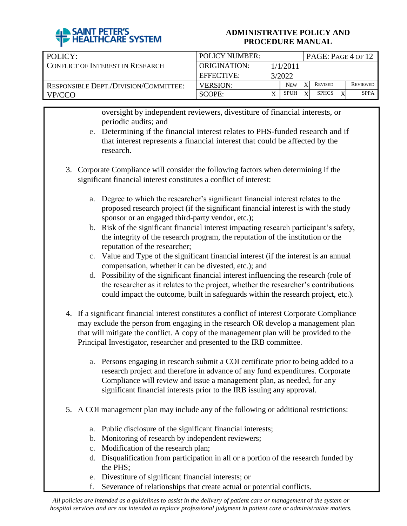

| POLICY:                               | POLICY NUMBER:  | PAGE: PAGE 4 OF 12 |             |              |                |  |                 |  |
|---------------------------------------|-----------------|--------------------|-------------|--------------|----------------|--|-----------------|--|
| I CONFLICT OF INTEREST IN RESEARCH.   | ORIGINATION:    | 1/1/2011           |             |              |                |  |                 |  |
|                                       | EFFECTIVE:      | 3/2022             |             |              |                |  |                 |  |
| RESPONSIBLE DEPT./DIVISION/COMMITTEE: | <b>VERSION:</b> |                    | <b>NEW</b>  |              | <b>REVISED</b> |  | <b>REVIEWED</b> |  |
| VP/CCO                                | SCOPE:          |                    | <b>SPUH</b> | $\mathbf{X}$ | <b>SPHCS</b>   |  | <b>SPPA</b>     |  |

oversight by independent reviewers, divestiture of financial interests, or periodic audits; and

- e. Determining if the financial interest relates to PHS-funded research and if that interest represents a financial interest that could be affected by the research.
- 3. Corporate Compliance will consider the following factors when determining if the significant financial interest constitutes a conflict of interest:
	- a. Degree to which the researcher's significant financial interest relates to the proposed research project (if the significant financial interest is with the study sponsor or an engaged third-party vendor, etc.);
	- b. Risk of the significant financial interest impacting research participant's safety, the integrity of the research program, the reputation of the institution or the reputation of the researcher;
	- c. Value and Type of the significant financial interest (if the interest is an annual compensation, whether it can be divested, etc.); and
	- d. Possibility of the significant financial interest influencing the research (role of the researcher as it relates to the project, whether the researcher's contributions could impact the outcome, built in safeguards within the research project, etc.).
- 4. If a significant financial interest constitutes a conflict of interest Corporate Compliance may exclude the person from engaging in the research OR develop a management plan that will mitigate the conflict. A copy of the management plan will be provided to the Principal Investigator, researcher and presented to the IRB committee.
	- a. Persons engaging in research submit a COI certificate prior to being added to a research project and therefore in advance of any fund expenditures. Corporate Compliance will review and issue a management plan, as needed, for any significant financial interests prior to the IRB issuing any approval.
- 5. A COI management plan may include any of the following or additional restrictions:
	- a. Public disclosure of the significant financial interests;
	- b. Monitoring of research by independent reviewers;
	- c. Modification of the research plan;
	- d. Disqualification from participation in all or a portion of the research funded by the PHS;
	- e. Divestiture of significant financial interests; or
	- f. Severance of relationships that create actual or potential conflicts.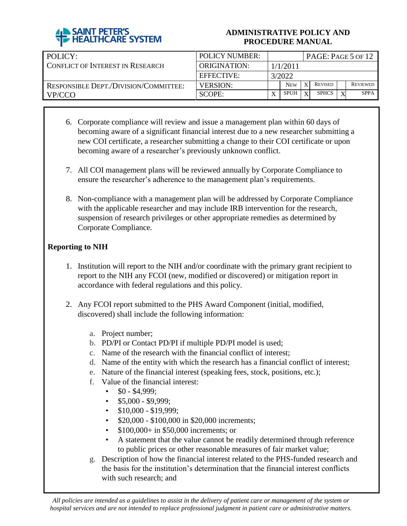

| POLICY:                               | <b>POLICY NUMBER:</b> | PAGE: PAGE 5 OF 12 |             |   |                |  |                 |  |
|---------------------------------------|-----------------------|--------------------|-------------|---|----------------|--|-----------------|--|
| CONFLICT OF INTEREST IN RESEARCH      | ORIGINATION:          | 1/1/2011           |             |   |                |  |                 |  |
|                                       | EFFECTIVE:            | 3/2022             |             |   |                |  |                 |  |
| RESPONSIBLE DEPT./DIVISION/COMMITTEE: | <b>VERSION:</b>       |                    | <b>NEW</b>  | X | <b>REVISED</b> |  | <b>REVIEWED</b> |  |
| VP/CCO                                | SCOPE:                |                    | <b>SPUH</b> | Y | <b>SPHCS</b>   |  | <b>SPPA</b>     |  |

- 6. Corporate compliance will review and issue a management plan within 60 days of becoming aware of a significant financial interest due to a new researcher submitting a new COI certificate, a researcher submitting a change to their COI certificate or upon becoming aware of a researcher's previously unknown conflict.
- 7. All COI management plans will be reviewed annually by Corporate Compliance to ensure the researcher's adherence to the management plan's requirements.
- 8. Non-compliance with a management plan will be addressed by Corporate Compliance with the applicable researcher and may include IRB intervention for the research, suspension of research privileges or other appropriate remedies as determined by Corporate Compliance.

## **Reporting to NIH**

- 1. Institution will report to the NIH and/or coordinate with the primary grant recipient to report to the NIH any FCOI (new, modified or discovered) or mitigation report in accordance with federal regulations and this policy.
- 2. Any FCOI report submitted to the PHS Award Component (initial, modified, discovered) shall include the following information:
	- a. Project number;
	- b. PD/PI or Contact PD/PI if multiple PD/PI model is used;
	- c. Name of the research with the financial conflict of interest;
	- d. Name of the entity with which the research has a financial conflict of interest;
	- e. Nature of the financial interest (speaking fees, stock, positions, etc.);
	- f. Value of the financial interest:
		- $$0 $4,999;$ 
			- $\cdot$  \$5,000 \$9,999;
			- $\cdot$  \$10,000 \$19,999;
			- \$20,000 \$100,000 in \$20,000 increments;
			- \$100,000+ in \$50,000 increments; or
			- A statement that the value cannot be readily determined through reference to public prices or other reasonable measures of fair market value;
	- g. Description of how the financial interest related to the PHS-funded research and the basis for the institution's determination that the financial interest conflicts with such research; and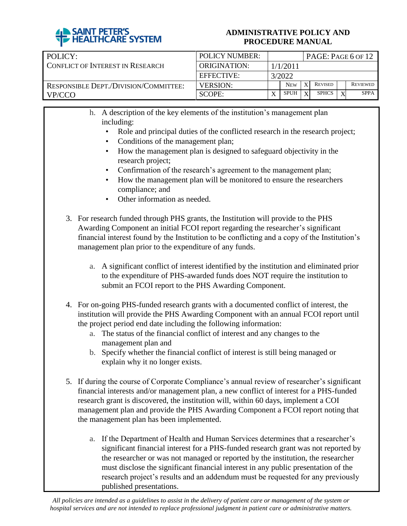

| POLICY:                                      | <b>POLICY NUMBER:</b> | $PAGE: PAGE 6$ OF 12 |            |              |                |  |                 |  |
|----------------------------------------------|-----------------------|----------------------|------------|--------------|----------------|--|-----------------|--|
| CONFLICT OF INTEREST IN RESEARCH             | ORIGINATION:          | 1/1/2011             |            |              |                |  |                 |  |
|                                              | EFFECTIVE:            | 3/2022               |            |              |                |  |                 |  |
| <b>RESPONSIBLE DEPT./DIVISION/COMMITTEE:</b> | <b>VERSION:</b>       |                      | <b>NEW</b> | X            | <b>REVISED</b> |  | <b>REVIEWED</b> |  |
| VP/CCO                                       | SCOPE:                | $\mathbf v$          | SPUH       | $\mathbf{x}$ | <b>SPHCS</b>   |  | <b>SPPA</b>     |  |

h. A description of the key elements of the institution's management plan including:

- Role and principal duties of the conflicted research in the research project;
- Conditions of the management plan;
- How the management plan is designed to safeguard objectivity in the research project;
- Confirmation of the research's agreement to the management plan;
- How the management plan will be monitored to ensure the researchers compliance; and
- Other information as needed.
- 3. For research funded through PHS grants, the Institution will provide to the PHS Awarding Component an initial FCOI report regarding the researcher's significant financial interest found by the Institution to be conflicting and a copy of the Institution's management plan prior to the expenditure of any funds.
	- a. A significant conflict of interest identified by the institution and eliminated prior to the expenditure of PHS-awarded funds does NOT require the institution to submit an FCOI report to the PHS Awarding Component.
- 4. For on-going PHS-funded research grants with a documented conflict of interest, the institution will provide the PHS Awarding Component with an annual FCOI report until the project period end date including the following information:
	- a. The status of the financial conflict of interest and any changes to the management plan and
	- b. Specify whether the financial conflict of interest is still being managed or explain why it no longer exists.
- 5. If during the course of Corporate Compliance's annual review of researcher's significant financial interests and/or management plan, a new conflict of interest for a PHS-funded research grant is discovered, the institution will, within 60 days, implement a COI management plan and provide the PHS Awarding Component a FCOI report noting that the management plan has been implemented.
	- a. If the Department of Health and Human Services determines that a researcher's significant financial interest for a PHS-funded research grant was not reported by the researcher or was not managed or reported by the institution, the researcher must disclose the significant financial interest in any public presentation of the research project's results and an addendum must be requested for any previously published presentations.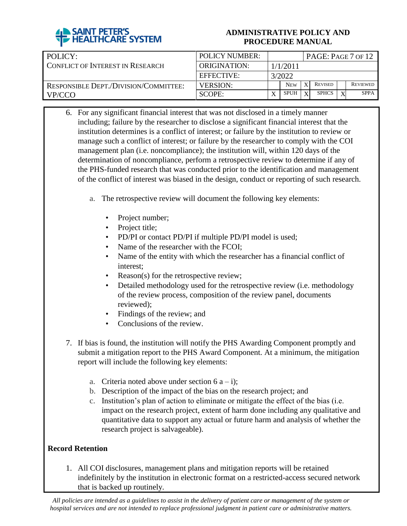

| POLICY:                               | <b>POLICY NUMBER:</b> | PAGE: PAGE 7 OF 12 |             |   |                |  |                 |  |
|---------------------------------------|-----------------------|--------------------|-------------|---|----------------|--|-----------------|--|
| CONFLICT OF INTEREST IN RESEARCH      | ORIGINATION:          | 1/1/2011           |             |   |                |  |                 |  |
|                                       | EFFECTIVE:            | 3/2022             |             |   |                |  |                 |  |
| RESPONSIBLE DEPT./DIVISION/COMMITTEE: | <b>VERSION:</b>       |                    | <b>NEW</b>  | X | <b>REVISED</b> |  | <b>REVIEWED</b> |  |
| VP/CCO                                | SCOPE:                |                    | <b>SPUH</b> | Y | <b>SPHCS</b>   |  | <b>SPPA</b>     |  |

- 6. For any significant financial interest that was not disclosed in a timely manner including; failure by the researcher to disclose a significant financial interest that the institution determines is a conflict of interest; or failure by the institution to review or manage such a conflict of interest; or failure by the researcher to comply with the COI management plan (i.e. noncompliance); the institution will, within 120 days of the determination of noncompliance, perform a retrospective review to determine if any of the PHS-funded research that was conducted prior to the identification and management of the conflict of interest was biased in the design, conduct or reporting of such research.
	- a. The retrospective review will document the following key elements:
		- Project number;
		- Project title;
		- PD/PI or contact PD/PI if multiple PD/PI model is used;
		- Name of the researcher with the FCOI;
		- Name of the entity with which the researcher has a financial conflict of interest;
		- Reason(s) for the retrospective review;
		- Detailed methodology used for the retrospective review (i.e. methodology of the review process, composition of the review panel, documents reviewed);
		- Findings of the review; and
		- Conclusions of the review.
- 7. If bias is found, the institution will notify the PHS Awarding Component promptly and submit a mitigation report to the PHS Award Component. At a minimum, the mitigation report will include the following key elements:
	- a. Criteria noted above under section  $6 a i$ ;
	- b. Description of the impact of the bias on the research project; and
	- c. Institution's plan of action to eliminate or mitigate the effect of the bias (i.e. impact on the research project, extent of harm done including any qualitative and quantitative data to support any actual or future harm and analysis of whether the research project is salvageable).

## **Record Retention**

1. All COI disclosures, management plans and mitigation reports will be retained indefinitely by the institution in electronic format on a restricted-access secured network that is backed up routinely.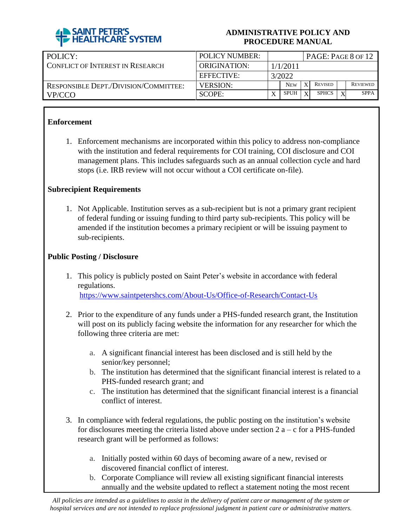

| POLICY:                                      | <b>POLICY NUMBER:</b> | PAGE: PAGE 8 OF 12 |             |              |                |  |                 |  |
|----------------------------------------------|-----------------------|--------------------|-------------|--------------|----------------|--|-----------------|--|
| CONFLICT OF INTEREST IN RESEARCH             | ORIGINATION:          | 1/1/2011           |             |              |                |  |                 |  |
|                                              | <b>EFFECTIVE:</b>     | 3/2022             |             |              |                |  |                 |  |
| <b>RESPONSIBLE DEPT./DIVISION/COMMITTEE:</b> | <b>VERSION:</b>       |                    | <b>NEW</b>  |              | <b>REVISED</b> |  | <b>REVIEWED</b> |  |
| VP/CCO                                       | SCOPE:                |                    | <b>SPUH</b> | $\mathbf{v}$ | <b>SPHCS</b>   |  | <b>SPPA</b>     |  |

## **Enforcement**

1. Enforcement mechanisms are incorporated within this policy to address non-compliance with the institution and federal requirements for COI training, COI disclosure and COI management plans. This includes safeguards such as an annual collection cycle and hard stops (i.e. IRB review will not occur without a COI certificate on-file).

#### **Subrecipient Requirements**

1. Not Applicable. Institution serves as a sub-recipient but is not a primary grant recipient of federal funding or issuing funding to third party sub-recipients. This policy will be amended if the institution becomes a primary recipient or will be issuing payment to sub-recipients.

#### **Public Posting / Disclosure**

- 1. This policy is publicly posted on Saint Peter's website in accordance with federal regulations. <https://www.saintpetershcs.com/About-Us/Office-of-Research/Contact-Us>
- 2. Prior to the expenditure of any funds under a PHS-funded research grant, the Institution will post on its publicly facing website the information for any researcher for which the following three criteria are met:
	- a. A significant financial interest has been disclosed and is still held by the senior/key personnel;
	- b. The institution has determined that the significant financial interest is related to a PHS-funded research grant; and
	- c. The institution has determined that the significant financial interest is a financial conflict of interest.
- 3. In compliance with federal regulations, the public posting on the institution's website for disclosures meeting the criteria listed above under section  $2a - c$  for a PHS-funded research grant will be performed as follows:
	- a. Initially posted within 60 days of becoming aware of a new, revised or discovered financial conflict of interest.
	- b. Corporate Compliance will review all existing significant financial interests annually and the website updated to reflect a statement noting the most recent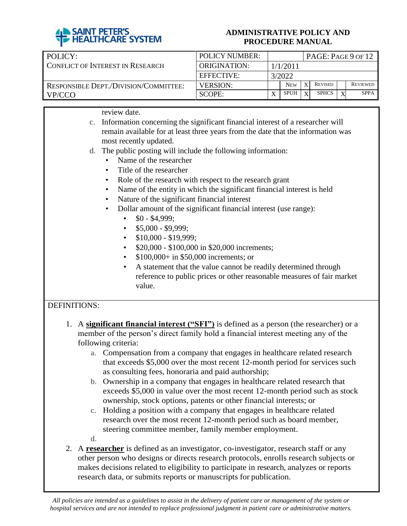

| POLICY:                               | <b>POLICY NUMBER:</b> | PAGE: PAGE 9 OF 12 |             |   |                |  |                 |  |  |
|---------------------------------------|-----------------------|--------------------|-------------|---|----------------|--|-----------------|--|--|
| CONFLICT OF INTEREST IN RESEARCH      | ORIGINATION:          | 1/1/2011           |             |   |                |  |                 |  |  |
|                                       | <b>EFFECTIVE:</b>     | 3/2022             |             |   |                |  |                 |  |  |
| RESPONSIBLE DEPT./DIVISION/COMMITTEE: | <b>VERSION:</b>       |                    | <b>NEW</b>  | X | <b>REVISED</b> |  | <b>REVIEWED</b> |  |  |
| VP/CCO                                | SCOPE:                | $\mathbf{v}$       | <b>SPUH</b> | X | <b>SPHCS</b>   |  | <b>SPPA</b>     |  |  |

review date.

| c. Information concerning the significant financial interest of a researcher will |
|-----------------------------------------------------------------------------------|
| remain available for at least three years from the date that the information was  |
| most recently updated.                                                            |

- d. The public posting will include the following information:
	- Name of the researcher
	- Title of the researcher
	- Role of the research with respect to the research grant
	- Name of the entity in which the significant financial interest is held
	- Nature of the significant financial interest
	- Dollar amount of the significant financial interest (use range):
		- $$0 $4,999;$
		- $\cdot$  \$5,000 \$9,999;
		- $$10,000 $19,999;$
		- \$20,000 \$100,000 in \$20,000 increments;
		- \$100,000+ in \$50,000 increments; or
		- A statement that the value cannot be readily determined through reference to public prices or other reasonable measures of fair market value.

# DEFINITIONS:

- 1. A **significant financial interest ("SFI")** is defined as a person (the researcher) or a member of the person's direct family hold a financial interest meeting any of the following criteria:
	- a. Compensation from a company that engages in healthcare related research that exceeds \$5,000 over the most recent 12-month period for services such as consulting fees, honoraria and paid authorship;
	- b. Ownership in a company that engages in healthcare related research that exceeds \$5,000 in value over the most recent 12-month period such as stock ownership, stock options, patents or other financial interests; or
	- c. Holding a position with a company that engages in healthcare related research over the most recent 12-month period such as board member, steering committee member, family member employment.
	- d.
- 2. A **researcher** is defined as an investigator, co-investigator, research staff or any other person who designs or directs research protocols, enrolls research subjects or makes decisions related to eligibility to participate in research, analyzes or reports research data, or submits reports or manuscripts for publication.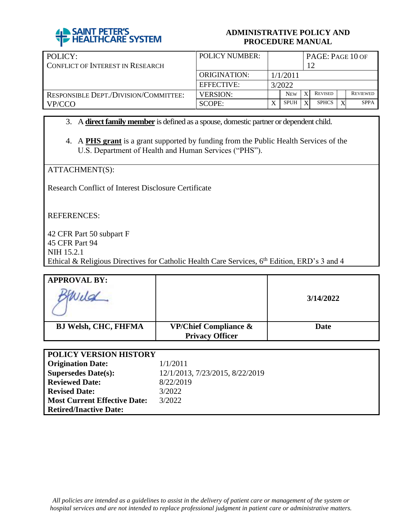

| POLICY:                                 | <b>POLICY NUMBER:</b> | PAGE: PAGE 10 OF |             |              |                |  |                 |  |  |
|-----------------------------------------|-----------------------|------------------|-------------|--------------|----------------|--|-----------------|--|--|
| <b>CONFLICT OF INTEREST IN RESEARCH</b> |                       |                  |             |              |                |  |                 |  |  |
|                                         | ORIGINATION:          | 1/1/2011         |             |              |                |  |                 |  |  |
|                                         | <b>EFFECTIVE:</b>     |                  | 3/2022      |              |                |  |                 |  |  |
| RESPONSIBLE DEPT./DIVISION/COMMITTEE:   | <b>VERSION:</b>       |                  | <b>NEW</b>  | $\mathbf{x}$ | <b>REVISED</b> |  | <b>REVIEWED</b> |  |  |
| VP/CCO                                  | SCOPE:                | X                | <b>SPUH</b> | X            | <b>SPHCS</b>   |  | <b>SPPA</b>     |  |  |

- 3. A **direct family member** is defined as a spouse, domestic partner or dependent child.
- 4. A **PHS grant** is a grant supported by funding from the Public Health Services of the U.S. Department of Health and Human Services ("PHS").

ATTACHMENT(S):

Research Conflict of Interest Disclosure Certificate

REFERENCES:

42 CFR Part 50 subpart F 45 CFR Part 94 NIH 15.2.1 Ethical & Religious Directives for Catholic Health Care Services, 6<sup>th</sup> Edition, ERD's 3 and 4

| <b>APPROVAL BY:</b>         |                                                            |             |
|-----------------------------|------------------------------------------------------------|-------------|
|                             |                                                            | 3/14/2022   |
| <b>BJ Welsh, CHC, FHFMA</b> | <b>VP/Chief Compliance &amp;</b><br><b>Privacy Officer</b> | <b>Date</b> |

| <b>POLICY VERSION HISTORY</b>       |                                 |
|-------------------------------------|---------------------------------|
| <b>Origination Date:</b>            | 1/1/2011                        |
| <b>Supersedes Date(s):</b>          | 12/1/2013, 7/23/2015, 8/22/2019 |
| <b>Reviewed Date:</b>               | 8/22/2019                       |
| <b>Revised Date:</b>                | 3/2022                          |
| <b>Most Current Effective Date:</b> | 3/2022                          |
| <b>Retired/Inactive Date:</b>       |                                 |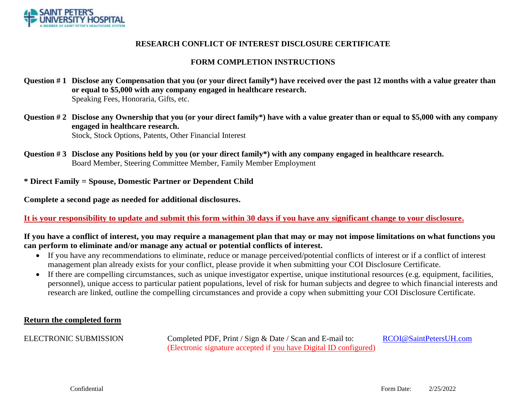

#### **RESEARCH CONFLICT OF INTEREST DISCLOSURE CERTIFICATE**

#### **FORM COMPLETION INSTRUCTIONS**

- **Question # 1 Disclose any Compensation that you (or your direct family\*) have received over the past 12 months with a value greater than or equal to \$5,000 with any company engaged in healthcare research.** Speaking Fees, Honoraria, Gifts, etc.
- **Question # 2 Disclose any Ownership that you (or your direct family\*) have with a value greater than or equal to \$5,000 with any company engaged in healthcare research.** Stock, Stock Options, Patents, Other Financial Interest
- **Question # 3 Disclose any Positions held by you (or your direct family\*) with any company engaged in healthcare research.** Board Member, Steering Committee Member, Family Member Employment

**\* Direct Family = Spouse, Domestic Partner or Dependent Child**

**Complete a second page as needed for additional disclosures.**

**It is your responsibility to update and submit this form within 30 days if you have any significant change to your disclosure.**

#### **If you have a conflict of interest, you may require a management plan that may or may not impose limitations on what functions you can perform to eliminate and/or manage any actual or potential conflicts of interest.**

- If you have any recommendations to eliminate, reduce or manage perceived/potential conflicts of interest or if a conflict of interest management plan already exists for your conflict, please provide it when submitting your COI Disclosure Certificate.
- If there are compelling circumstances, such as unique investigator expertise, unique institutional resources (e.g. equipment, facilities, personnel), unique access to particular patient populations, level of risk for human subjects and degree to which financial interests and research are linked, outline the compelling circumstances and provide a copy when submitting your COI Disclosure Certificate.

#### **Return the completed form**

ELECTRONIC SUBMISSION Completed PDF, Print / Sign & Date / Scan and E-mail to: [RCOI@SaintPetersUH.com](mailto:RCOI@SaintPetersUH.com) (Electronic signature accepted if you have Digital ID configured)